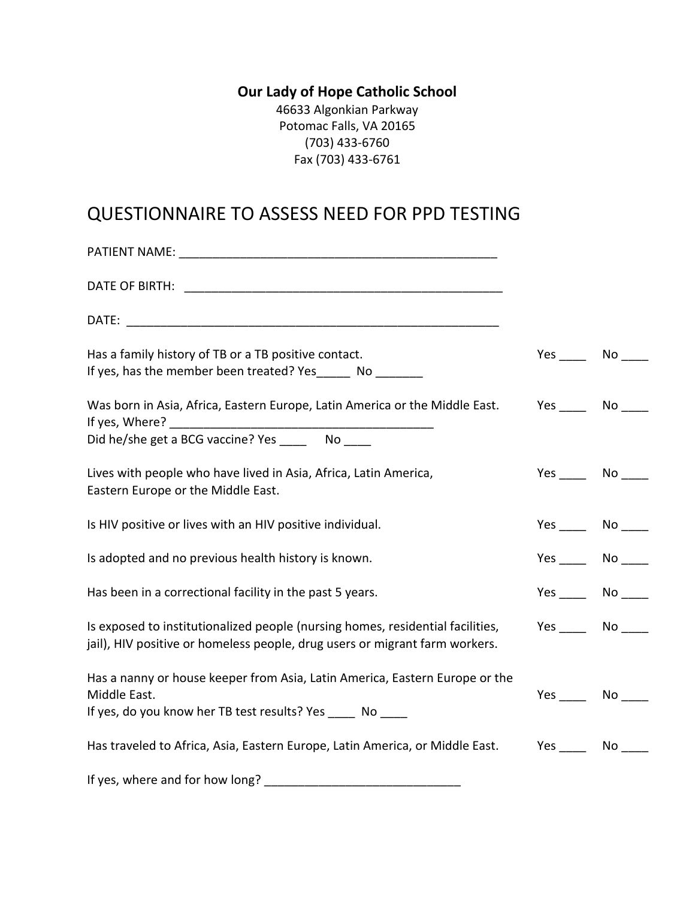## **Our Lady of Hope Catholic School**

46633 Algonkian Parkway Potomac Falls, VA 20165 (703) 433-6760 Fax (703) 433-6761

## QUESTIONNAIRE TO ASSESS NEED FOR PPD TESTING

| <b>PATIENT NAME:</b> THE STATE OF THE STATE OF THE STATE OF THE STATE OF THE STATE OF THE STATE OF THE STATE OF THE STATE OF THE STATE OF THE STATE OF THE STATE OF THE STATE OF THE STATE OF THE STATE OF THE STATE OF THE STATE O |        |                 |
|-------------------------------------------------------------------------------------------------------------------------------------------------------------------------------------------------------------------------------------|--------|-----------------|
|                                                                                                                                                                                                                                     |        |                 |
|                                                                                                                                                                                                                                     |        |                 |
| Has a family history of TB or a TB positive contact.<br>If yes, has the member been treated? Yes _______ No ________                                                                                                                |        | $Yes$ No ______ |
| Was born in Asia, Africa, Eastern Europe, Latin America or the Middle East.<br>If yes, Where?                                                                                                                                       | Yes No |                 |
|                                                                                                                                                                                                                                     |        |                 |
| Lives with people who have lived in Asia, Africa, Latin America,<br>Eastern Europe or the Middle East.                                                                                                                              |        | Yes No          |
| Is HIV positive or lives with an HIV positive individual.                                                                                                                                                                           |        |                 |
| Is adopted and no previous health history is known.                                                                                                                                                                                 |        | Yes No          |
| Has been in a correctional facility in the past 5 years.                                                                                                                                                                            |        | $Yes$ No $\_\_$ |
| Is exposed to institutionalized people (nursing homes, residential facilities,<br>jail), HIV positive or homeless people, drug users or migrant farm workers.                                                                       |        | Yes No          |
| Has a nanny or house keeper from Asia, Latin America, Eastern Europe or the<br>Middle East.<br>If yes, do you know her TB test results? Yes ______ No _____                                                                         |        | $Yes$ No $N$    |
| Has traveled to Africa, Asia, Eastern Europe, Latin America, or Middle East.                                                                                                                                                        |        | $Yes$ No $\_\_$ |
| $\sim$ $\sim$ $\sim$ $\sim$ $\sim$ $\sim$                                                                                                                                                                                           |        |                 |

If yes, where and for how long? \_\_\_\_\_\_\_\_\_\_\_\_\_\_\_\_\_\_\_\_\_\_\_\_\_\_\_\_\_